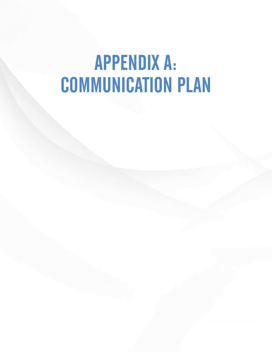# APPENDIX A: COMMUNICATION PLAN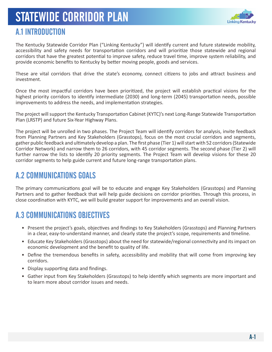# STATEWIDE CORRIDOR PLAN



### A.1 INTRODUCTION

The Kentucky Statewide Corridor Plan ("Linking Kentucky") will identify current and future statewide mobility, accessibility and safety needs for transportation corridors and will prioritize those statewide and regional corridors that have the greatest potential to improve safety, reduce travel time, improve system reliability, and provide economic benefits to Kentucky by better moving people, goods and services.

These are vital corridors that drive the state's economy, connect citizens to jobs and attract business and investment.

Once the most impactful corridors have been prioritized, the project will establish practical visions for the highest priority corridors to identify intermediate (2030) and long-term (2045) transportation needs, possible improvements to address the needs, and implementation strategies.

The project will support the Kentucky Transportation Cabinet (KYTC)'s next Long-Range Statewide Transportation Plan (LRSTP) and future Six-Year Highway Plans.

The project will be unrolled in two phases. The Project Team will identify corridors for analysis, invite feedback from Planning Partners and Key Stakeholders (Grasstops), focus on the most crucial corridors and segments, gather public feedback and ultimately develop a plan. The first phase (Tier 1) will start with 52 corridors (Statewide Corridor Network) and narrow them to 26 corridors, with 45 corridor segments. The second phase (Tier 2) will further narrow the lists to identify 20 priority segments. The Project Team will develop visions for these 20 corridor segments to help guide current and future long-range transportation plans.

### A.2 COMMUNICATIONS GOALS

The primary communications goal will be to educate and engage Key Stakeholders (Grasstops) and Planning Partners and to gather feedback that will help guide decisions on corridor priorities. Through this process, in close coordination with KYTC, we will build greater support for improvements and an overall vision.

# A.3 COMMUNICATIONS OBJECTIVES

- Present the project's goals, objectives and findings to Key Stakeholders (Grasstops) and Planning Partners in a clear, easy-to-understand manner, and clearly state the project's scope, requirements and timeline.
- Educate Key Stakeholders (Grasstops) about the need for statewide/regional connectivity and its impact on economic development and the benefit to quality of life.
- Define the tremendous benefits in safety, accessibility and mobility that will come from improving key corridors.
- Display supporting data and findings.
- Gather input from Key Stakeholders (Grasstops) to help identify which segments are more important and to learn more about corridor issues and needs.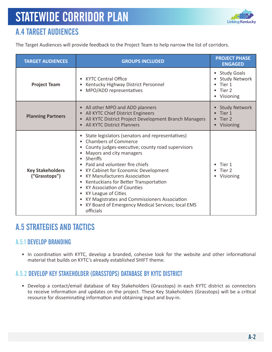

# A.4 TARGET AUDIENCES

The Target Audiences will provide feedback to the Project Team to help narrow the list of corridors.

| <b>TARGET AUDIENCES</b>                  | <b>GROUPS INCLUDED</b>                                                                                                                                                                                                                                                                                                                                                                                                                                                                                             | <b>PROJECT PHASE</b><br><b>ENGAGED</b>                                 |
|------------------------------------------|--------------------------------------------------------------------------------------------------------------------------------------------------------------------------------------------------------------------------------------------------------------------------------------------------------------------------------------------------------------------------------------------------------------------------------------------------------------------------------------------------------------------|------------------------------------------------------------------------|
| <b>Project Team</b>                      | <b>KYTC Central Office</b><br>Kentucky Highway District Personnel<br>MPO/ADD representatives                                                                                                                                                                                                                                                                                                                                                                                                                       | • Study Goals<br><b>Study Network</b><br>Tier 1<br>Tier 2<br>Visioning |
| <b>Planning Partners</b>                 | All other MPO and ADD planners<br>All KYTC Chief District Engineers<br>All KYTC District Project Development Branch Managers<br><b>All KYTC District Planners</b>                                                                                                                                                                                                                                                                                                                                                  | <b>Study Network</b><br>Tier 1<br>Tier 2<br>Visioning                  |
| <b>Key Stakeholders</b><br>("Grasstops") | State legislators (senators and representatives)<br><b>Chambers of Commerce</b><br>County judges-executive; county road supervisors<br>Mayors and city managers<br>Sheriffs<br>Paid and volunteer fire chiefs<br>KY Cabinet for Economic Development<br><b>KY Manufacturers Association</b><br>Kentuckians for Better Transportation<br><b>KY Association of Counties</b><br>KY League of Cities<br>KY Magistrates and Commissioners Association<br>KY Board of Emergency Medical Services; local EMS<br>officials | Tier 1<br>Tier 2<br>• Visioning                                        |

### A.5 STRATEGIES AND TACTICS

#### A.5.1 DEVELOP BRANDING

• In coordination with KYTC, develop a branded, cohesive look for the website and other informational material that builds on KYTC's already established SHIFT theme.

#### A.5.2 DEVELOP KEY STAKEHOLDER (GRASSTOPS) DATABASE BY KYTC DISTRICT

• Develop a contact/email database of Key Stakeholders (Grasstops) in each KYTC district as connectors to receive information and updates on the project. These Key Stakeholders (Grasstops) will be a critical resource for disseminating information and obtaining input and buy-in.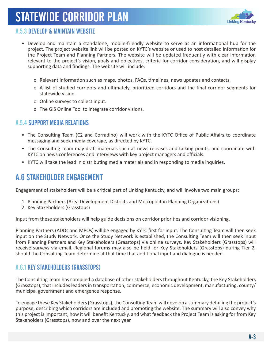# STATEWIDE CORRIDOR PLAN



#### A.5.3 DEVELOP & MAINTAIN WEBSITE

- Develop and maintain a standalone, mobile-friendly website to serve as an informational hub for the project. The project website link will be posted on KYTC's website or used to host detailed information for the Project Team and Planning Partners. The website will be updated frequently with clear information relevant to the project's vision, goals and objectives, criteria for corridor consideration, and will display supporting data and findings. The website will include:
	- o Relevant information such as maps, photos, FAQs, timelines, news updates and contacts.
	- o A list of studied corridors and ultimately, prioritized corridors and the final corridor segments for statewide vision.
	- o Online surveys to collect input.
	- o The GIS Online Tool to integrate corridor visions.

#### A.5.4 SUPPORT MEDIA RELATIONS

- The Consulting Team (C2 and Corradino) will work with the KYTC Office of Public Affairs to coordinate messaging and seek media coverage, as directed by KYTC.
- The Consulting Team may draft materials such as news releases and talking points, and coordinate with KYTC on news conferences and interviews with key project managers and officials.
- KYTC will take the lead in distributing media materials and in responding to media inquiries.

# A.6 STAKEHOLDER ENGAGEMENT

Engagement of stakeholders will be a critical part of Linking Kentucky, and will involve two main groups:

- 1. Planning Partners (Area Development Districts and Metropolitan Planning Organizations)
- 2. Key Stakeholders (Grasstops)

Input from these stakeholders will help guide decisions on corridor priorities and corridor visioning.

Planning Partners (ADDs and MPOs) will be engaged by KYTC first for input. The Consulting Team will then seek input on the Study Network. Once the Study Network is established, the Consulting Team will then seek input from Planning Partners and Key Stakeholders (Grasstops) via online surveys. Key Stakeholders (Grasstops) will receive surveys via email. Regional forums may also be held for Key Stakeholders (Grasstops) during Tier 2, should the Consulting Team determine at that time that additional input and dialogue is needed.

#### A.6.1 KEY STAKEHOLDERS (GRASSTOPS)

The Consulting Team has compiled a database of other stakeholders throughout Kentucky, the Key Stakeholders (Grasstops), that includes leaders in transportation, commerce, economic development, manufacturing, county/ municipal government and emergence response.

To engage these Key Stakeholders (Grasstops), the Consulting Team will develop a summary detailing the project's purpose, describing which corridors are included and promoting the website. The summary will also convey why this project is important, how it will benefit Kentucky, and what feedback the Project Team is asking for from Key Stakeholders (Grasstops), now and over the next year.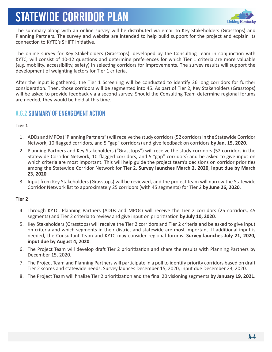# STATEWIDE CORRIDOR PLAN



The summary along with an online survey will be distributed via email to Key Stakeholders (Grasstops) and Planning Partners. The survey and website are intended to help build support for the project and explain its connection to KYTC's SHIFT initiative.

The online survey for Key Stakeholders (Grasstops), developed by the Consulting Team in conjunction with KYTC, will consist of 10-12 questions and determine preferences for which Tier 1 criteria are more valuable (e.g. mobility, accessibility, safety) in selecting corridors for improvements. The survey results will support the development of weighting factors for Tier 1 criteria.

After the input is gathered, the Tier 1 Screening will be conducted to identify 26 long corridors for further consideration. Then, those corridors will be segmented into 45. As part of Tier 2, Key Stakeholders (Grasstops) will be asked to provide feedback via a second survey. Should the Consulting Team determine regional forums are needed, they would be held at this time.

#### A.6.2 SUMMARY OF ENGAGEMENT ACTION

#### **Tier 1**

- 1. ADDs and MPOs ("Planning Partners") will receive the study corridors (52 corridors in the Statewide Corridor Network, 10 flagged corridors, and 5 "gap" corridors) and give feedback on corridors **by Jan. 15, 2020**.
- 2. Planning Partners and Key Stakeholders ("Grasstops") will receive the study corridors (52 corridors in the Statewide Corridor Network, 10 flagged corridors, and 5 "gap" corridors) and be asked to give input on which criteria are most important. This will help guide the project team's decisions on corridor priorities among the Statewide Corridor Network for Tier 2. **Survey launches March 2, 2020, input due by March 23, 2020**.
- 3. Input from Key Stakeholders (Grasstops) will be reviewed, and the project team will narrow the Statewide Corridor Network list to approximately 25 corridors (with 45 segments) for Tier 2 **by June 26, 2020**.

#### **Tier 2**

- 4. Through KYTC, Planning Partners (ADDs and MPOs) will receive the Tier 2 corridors (25 corridors, 45 segments) and Tier 2 criteria to review and give input on prioritization **by July 10, 2020**.
- 5. Key Stakeholders (Grasstops) will receive the Tier 2 corridors and Tier 2 criteria and be asked to give input on criteria and which segments in their district and statewide are most important. If additional input is needed, the Consultant Team and KYTC may consider regional forums. **Survey launches July 21, 2020, input due by August 4, 2020**.
- 6. The Project Team will develop draft Tier 2 prioritization and share the results with Planning Partners by December 15, 2020.
- 7. The Project Team and Planning Partners will participate in a poll to identify priority corridors based on draft Tier 2 scores and statewide needs. Survey launces December 15, 2020, input due December 23, 2020.
- 8. The Project Team will finalize Tier 2 prioritization and the final 20 visioning segments **by January 19, 2021**.